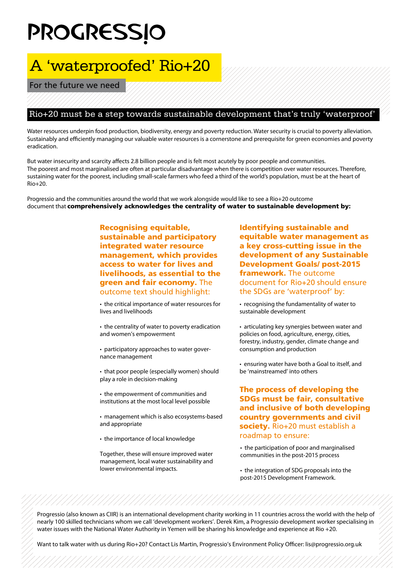## **PROGRESSIO**

## A 'waterproofed' Rio+20

For the future we need

## Rio+20 must be a step towards sustainable development that's truly 'waterproof'

Water resources underpin food production, biodiversity, energy and poverty reduction. Water security is crucial to poverty alleviation. Sustainably and efficiently managing our valuable water resources is a cornerstone and prerequisite for green economies and poverty eradication.

But water insecurity and scarcity affects 2.8 billion people and is felt most acutely by poor people and communities. The poorest and most marginalised are often at particular disadvantage when there is competition over water resources. Therefore, sustaining water for the poorest, including small-scale farmers who feed a third of the world's population, must be at the heart of Rio+20.

Progressio and the communities around the world that we work alongside would like to see a Rio+20 outcome document that comprehensively acknowledges the centrality of water to sustainable development by:

> Recognising equitable, sustainable and participatory integrated water resource management, which provides access to water for lives and livelihoods, as essential to the green and fair economy. The outcome text should highlight:

• the critical importance of water resources for lives and livelihoods

• the centrality of water to poverty eradication and women's empowerment

• participatory approaches to water governance management

• that poor people (especially women) should play a role in decision-making

• the empowerment of communities and institutions at the most local level possible

• management which is also ecosystems-based and appropriate

• the importance of local knowledge

Together, these will ensure improved water management, local water sustainability and lower environmental impacts.

Identifying sustainable and equitable water management as a key cross-cutting issue in the development of any Sustainable Development Goals/ post-2015 framework. The outcome document for Rio+20 should ensure the SDGs are 'waterproof' by:

• recognising the fundamentality of water to sustainable development

• articulating key synergies between water and policies on food, agriculture, energy, cities, forestry, industry, gender, climate change and consumption and production

• ensuring water have both a Goal to itself, and be 'mainstreamed' into others

The process of developing the SDGs must be fair, consultative and inclusive of both developing country governments and civil society. Rio+20 must establish a roadmap to ensure:

• the participation of poor and marginalised communities in the post-2015 process

• the integration of SDG proposals into the post-2015 Development Framework.

Progressio (also known as CIIR) is an international development charity working in 11 countries across the world with the help of nearly 100 skilled technicians whom we call 'development workers'. Derek Kim, a Progressio development worker specialising in water issues with the National Water Authority in Yemen will be sharing his knowledge and experience at Rio +20.

Want to talk water with us during Rio+20? Contact Lis Martin, Progressio's Environment Policy Officer: lis@progressio.org.uk